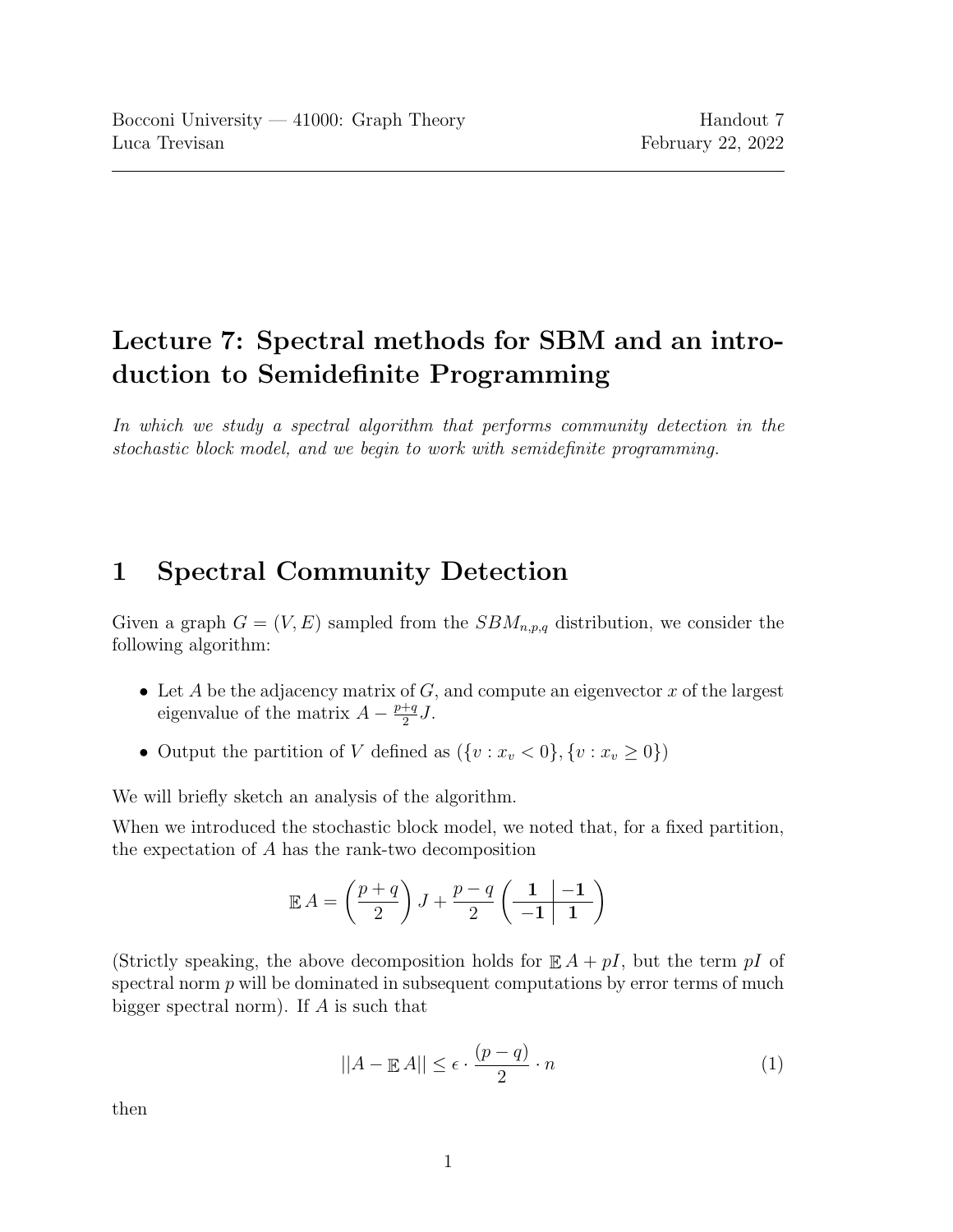## Lecture 7: Spectral methods for SBM and an introduction to Semidefinite Programming

In which we study a spectral algorithm that performs community detection in the stochastic block model, and we begin to work with semidefinite programming.

## 1 Spectral Community Detection

Given a graph  $G = (V, E)$  sampled from the  $SBM_{n,p,q}$  distribution, we consider the following algorithm:

- Let A be the adjacency matrix of  $G$ , and compute an eigenvector  $x$  of the largest eigenvalue of the matrix  $A - \frac{p+q}{2}$  $rac{+q}{2}J.$
- Output the partition of V defined as  $({v : x_v < 0}, {v : x_v \ge 0})$

We will briefly sketch an analysis of the algorithm.

When we introduced the stochastic block model, we noted that, for a fixed partition, the expectation of A has the rank-two decomposition

$$
\mathbb{E} A = \left(\frac{p+q}{2}\right) J + \frac{p-q}{2} \left(\begin{array}{c|c} 1 & -1 \\ \hline -1 & 1 \end{array}\right)
$$

<span id="page-0-0"></span>(Strictly speaking, the above decomposition holds for  $\mathbb{E} A + pI$ , but the term pI of spectral norm  $p$  will be dominated in subsequent computations by error terms of much bigger spectral norm). If A is such that

$$
||A - \mathbb{E}A|| \le \epsilon \cdot \frac{(p-q)}{2} \cdot n \tag{1}
$$

then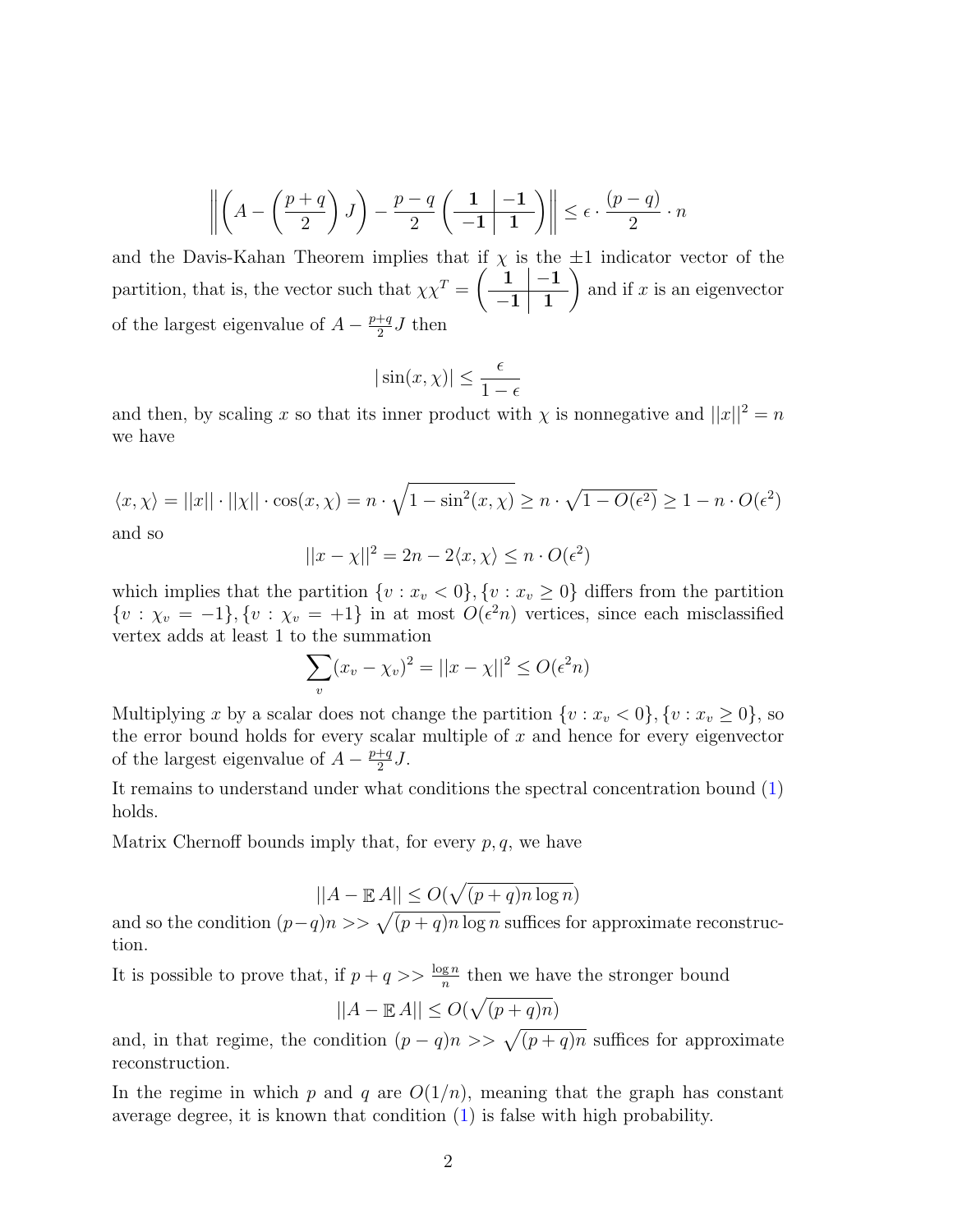$$
\left\| \left(A - \left(\frac{p+q}{2}\right)J\right) - \frac{p-q}{2}\left(\frac{1}{-1}\left|\frac{-1}{1}\right|\right) \right\| \le \epsilon \cdot \frac{(p-q)}{2} \cdot n
$$

and the Davis-Kahan Theorem implies that if  $\chi$  is the  $\pm 1$  indicator vector of the partition, that is, the vector such that  $\chi \chi^T = \begin{pmatrix} 1 & -1 \\ -1 & 1 \end{pmatrix}$  $-1$ | 1  $\setminus$ and if  $x$  is an eigenvector of the largest eigenvalue of  $A - \frac{p+q}{2}$  $\frac{+q}{2}J$  then

$$
|\sin(x,\chi)| \le \frac{\epsilon}{1-\epsilon}
$$

and then, by scaling x so that its inner product with  $\chi$  is nonnegative and  $||x||^2 = n$ we have

$$
\langle x, \chi \rangle = ||x|| \cdot ||\chi|| \cdot \cos(x, \chi) = n \cdot \sqrt{1 - \sin^2(x, \chi)} \ge n \cdot \sqrt{1 - O(\epsilon^2)} \ge 1 - n \cdot O(\epsilon^2)
$$
 and so

$$
||x - \chi||^2 = 2n - 2\langle x, \chi \rangle \le n \cdot O(\epsilon^2)
$$

which implies that the partition  $\{v : x_v < 0\}$ ,  $\{v : x_v \ge 0\}$  differs from the partition  $\{v : \chi_v = -1\}, \{v : \chi_v = +1\}$  in at most  $O(\epsilon^2 n)$  vertices, since each misclassified vertex adds at least 1 to the summation

$$
\sum_{v} (x_v - \chi_v)^2 = ||x - \chi||^2 \le O(\epsilon^2 n)
$$

Multiplying x by a scalar does not change the partition  $\{v : x_v < 0\}$ ,  $\{v : x_v \ge 0\}$ , so the error bound holds for every scalar multiple of  $x$  and hence for every eigenvector of the largest eigenvalue of  $A - \frac{p+q}{2}$  $rac{+q}{2}J$ .

It remains to understand under what conditions the spectral concentration bound [\(1\)](#page-0-0) holds.

Matrix Chernoff bounds imply that, for every  $p, q$ , we have

$$
||A - \mathop{\mathbb{E}} A|| \leq O(\sqrt{(p+q) n \log n})
$$

and so the condition  $(p-q)n \gg \sqrt{(p+q)n \log n}$  suffices for approximate reconstruction.

It is possible to prove that, if  $p + q \gg \frac{\log n}{n}$  then we have the stronger bound

$$
||A - \mathbb{E}A|| \le O(\sqrt{(p+q)n})
$$

and, in that regime, the condition  $(p - q)n \gg \sqrt{(p + q)n}$  suffices for approximate reconstruction.

In the regime in which p and q are  $O(1/n)$ , meaning that the graph has constant average degree, it is known that condition [\(1\)](#page-0-0) is false with high probability.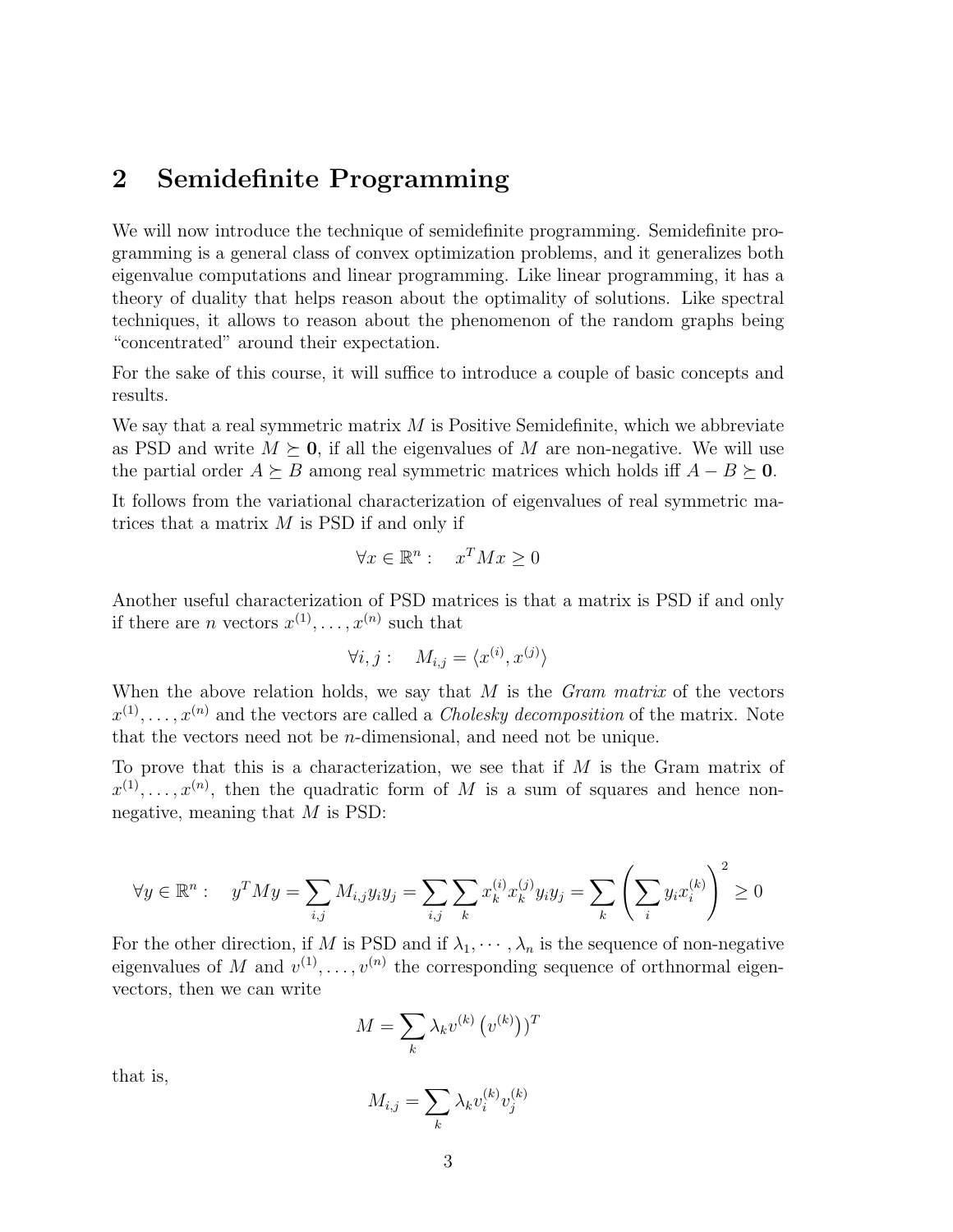## 2 Semidefinite Programming

We will now introduce the technique of semidefinite programming. Semidefinite programming is a general class of convex optimization problems, and it generalizes both eigenvalue computations and linear programming. Like linear programming, it has a theory of duality that helps reason about the optimality of solutions. Like spectral techniques, it allows to reason about the phenomenon of the random graphs being "concentrated" around their expectation.

For the sake of this course, it will suffice to introduce a couple of basic concepts and results.

We say that a real symmetric matrix  $M$  is Positive Semidefinite, which we abbreviate as PSD and write  $M \succeq 0$ , if all the eigenvalues of M are non-negative. We will use the partial order  $A \succeq B$  among real symmetric matrices which holds iff  $A - B \succeq 0$ .

It follows from the variational characterization of eigenvalues of real symmetric matrices that a matrix  $M$  is PSD if and only if

$$
\forall x \in \mathbb{R}^n : \quad x^T M x \ge 0
$$

Another useful characterization of PSD matrices is that a matrix is PSD if and only if there are *n* vectors  $x^{(1)}, \ldots, x^{(n)}$  such that

$$
\forall i, j: \quad M_{i,j} = \langle x^{(i)}, x^{(j)} \rangle
$$

When the above relation holds, we say that  $M$  is the *Gram matrix* of the vectors  $x^{(1)}, \ldots, x^{(n)}$  and the vectors are called a *Cholesky decomposition* of the matrix. Note that the vectors need not be n-dimensional, and need not be unique.

To prove that this is a characterization, we see that if M is the Gram matrix of  $x^{(1)}, \ldots, x^{(n)}$ , then the quadratic form of M is a sum of squares and hence nonnegative, meaning that  $M$  is PSD:

$$
\forall y \in \mathbb{R}^n : \quad y^T M y = \sum_{i,j} M_{i,j} y_i y_j = \sum_{i,j} \sum_k x_k^{(i)} x_k^{(j)} y_i y_j = \sum_k \left( \sum_i y_i x_i^{(k)} \right)^2 \ge 0
$$

For the other direction, if M is PSD and if  $\lambda_1, \dots, \lambda_n$  is the sequence of non-negative eigenvalues of M and  $v^{(1)}, \ldots, v^{(n)}$  the corresponding sequence of orthnormal eigenvectors, then we can write

$$
M = \sum_{k} \lambda_k v^{(k)} (v^{(k)})^T
$$

that is,

$$
M_{i,j} = \sum_{k} \lambda_k v_i^{(k)} v_j^{(k)}
$$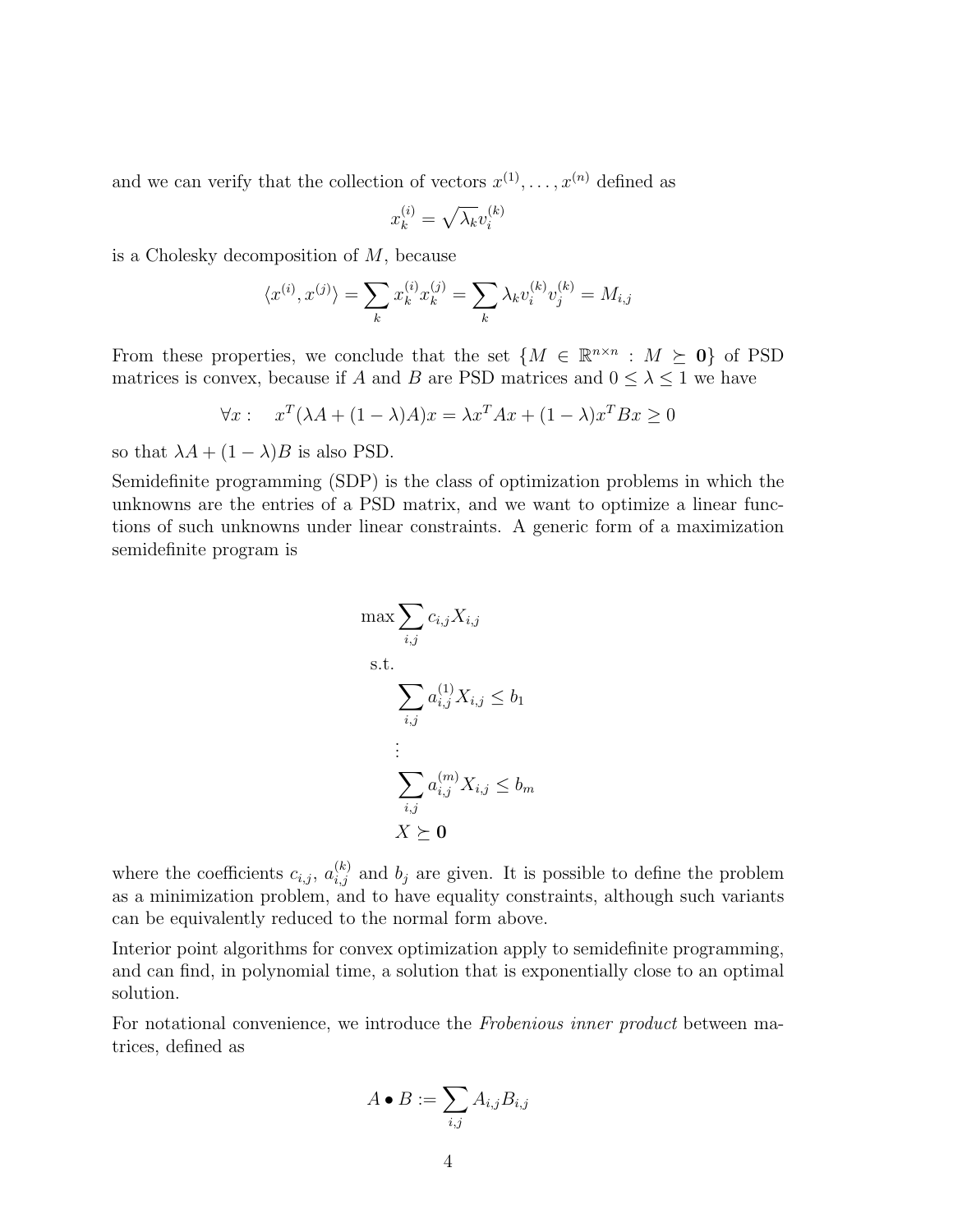and we can verify that the collection of vectors  $x^{(1)}, \ldots, x^{(n)}$  defined as

$$
x_k^{(i)} = \sqrt{\lambda_k} v_i^{(k)}
$$

is a Cholesky decomposition of  $M$ , because

$$
\langle x^{(i)}, x^{(j)} \rangle = \sum_{k} x^{(i)}_{k} x^{(j)}_{k} = \sum_{k} \lambda_{k} v^{(k)}_{i} v^{(k)}_{j} = M_{i,j}
$$

From these properties, we conclude that the set  $\{M \in \mathbb{R}^{n \times n} : M \succeq 0\}$  of PSD matrices is convex, because if A and B are PSD matrices and  $0 \leq \lambda \leq 1$  we have

$$
\forall x: \quad x^T(\lambda A + (1 - \lambda)A)x = \lambda x^T A x + (1 - \lambda)x^T B x \ge 0
$$

so that  $\lambda A + (1 - \lambda)B$  is also PSD.

Semidefinite programming (SDP) is the class of optimization problems in which the unknowns are the entries of a PSD matrix, and we want to optimize a linear functions of such unknowns under linear constraints. A generic form of a maximization semidefinite program is

$$
\max \sum_{i,j} c_{i,j} X_{i,j}
$$
\ns.t.\n
$$
\sum_{i,j} a_{i,j}^{(1)} X_{i,j} \le b_1
$$
\n
$$
\vdots
$$
\n
$$
\sum_{i,j} a_{i,j}^{(m)} X_{i,j} \le b_m
$$
\n
$$
X \succeq \mathbf{0}
$$

where the coefficients  $c_{i,j}$ ,  $a_{i,j}^{(k)}$  and  $b_j$  are given. It is possible to define the problem as a minimization problem, and to have equality constraints, although such variants can be equivalently reduced to the normal form above.

Interior point algorithms for convex optimization apply to semidefinite programming, and can find, in polynomial time, a solution that is exponentially close to an optimal solution.

For notational convenience, we introduce the Frobenious inner product between matrices, defined as

$$
A \bullet B := \sum_{i,j} A_{i,j} B_{i,j}
$$